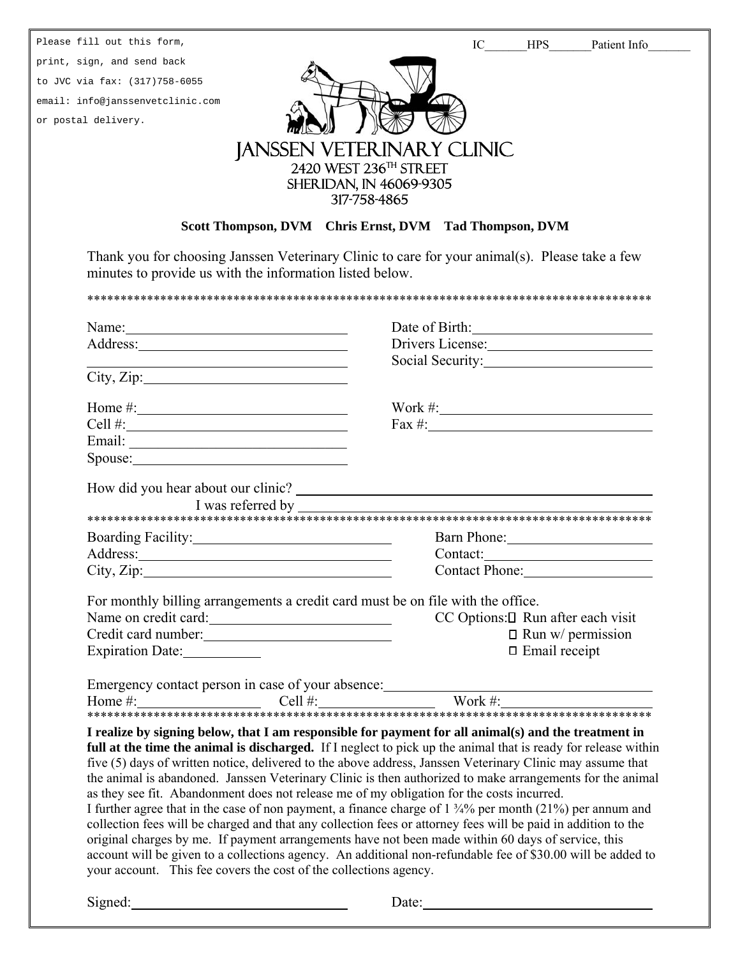| Please fill out this form,                                                                                            | IC HPS Patient Info                                                                                                                                                                                                                                                                                                                                                                                                                                                                                                                            |
|-----------------------------------------------------------------------------------------------------------------------|------------------------------------------------------------------------------------------------------------------------------------------------------------------------------------------------------------------------------------------------------------------------------------------------------------------------------------------------------------------------------------------------------------------------------------------------------------------------------------------------------------------------------------------------|
| print, sign, and send back                                                                                            |                                                                                                                                                                                                                                                                                                                                                                                                                                                                                                                                                |
| to JVC via fax: (317)758-6055                                                                                         |                                                                                                                                                                                                                                                                                                                                                                                                                                                                                                                                                |
| email: info@janssenvetclinic.com                                                                                      |                                                                                                                                                                                                                                                                                                                                                                                                                                                                                                                                                |
| or postal delivery.                                                                                                   |                                                                                                                                                                                                                                                                                                                                                                                                                                                                                                                                                |
|                                                                                                                       | <b>JANSSEN VETERINARY CLINIC</b>                                                                                                                                                                                                                                                                                                                                                                                                                                                                                                               |
|                                                                                                                       | 2420 WEST 236TH STREET                                                                                                                                                                                                                                                                                                                                                                                                                                                                                                                         |
|                                                                                                                       | <b>SHERIDAN, IN 46069-9305</b>                                                                                                                                                                                                                                                                                                                                                                                                                                                                                                                 |
|                                                                                                                       | 317-758-4865                                                                                                                                                                                                                                                                                                                                                                                                                                                                                                                                   |
|                                                                                                                       | Scott Thompson, DVM Chris Ernst, DVM Tad Thompson, DVM                                                                                                                                                                                                                                                                                                                                                                                                                                                                                         |
| minutes to provide us with the information listed below.                                                              | Thank you for choosing Janssen Veterinary Clinic to care for your animal(s). Please take a few                                                                                                                                                                                                                                                                                                                                                                                                                                                 |
|                                                                                                                       |                                                                                                                                                                                                                                                                                                                                                                                                                                                                                                                                                |
|                                                                                                                       | Date of Birth:                                                                                                                                                                                                                                                                                                                                                                                                                                                                                                                                 |
|                                                                                                                       | Drivers License:                                                                                                                                                                                                                                                                                                                                                                                                                                                                                                                               |
| <u> 1989 - Johann Stoff, deutscher Stoff, der Stoff, der Stoff, der Stoff, der Stoff, der Stoff, der Stoff, der S</u> | Social Security:                                                                                                                                                                                                                                                                                                                                                                                                                                                                                                                               |
| City, Zip:                                                                                                            |                                                                                                                                                                                                                                                                                                                                                                                                                                                                                                                                                |
|                                                                                                                       |                                                                                                                                                                                                                                                                                                                                                                                                                                                                                                                                                |
| Cell #: $\qquad \qquad$                                                                                               | Fax #: $\frac{1}{2}$ = $\frac{1}{2}$ = $\frac{1}{2}$ = $\frac{1}{2}$ = $\frac{1}{2}$ = $\frac{1}{2}$ = $\frac{1}{2}$ = $\frac{1}{2}$ = $\frac{1}{2}$ = $\frac{1}{2}$ = $\frac{1}{2}$ = $\frac{1}{2}$ = $\frac{1}{2}$ = $\frac{1}{2}$ = $\frac{1}{2}$ = $\frac{1}{2}$ = $\frac{1}{2}$ = $\frac{1}{2}$                                                                                                                                                                                                                                           |
|                                                                                                                       |                                                                                                                                                                                                                                                                                                                                                                                                                                                                                                                                                |
| Spouse: Spouse:                                                                                                       |                                                                                                                                                                                                                                                                                                                                                                                                                                                                                                                                                |
|                                                                                                                       |                                                                                                                                                                                                                                                                                                                                                                                                                                                                                                                                                |
| I was referred by                                                                                                     |                                                                                                                                                                                                                                                                                                                                                                                                                                                                                                                                                |
| Boarding Facility: 1997                                                                                               | Barn Phone: 2008                                                                                                                                                                                                                                                                                                                                                                                                                                                                                                                               |
|                                                                                                                       |                                                                                                                                                                                                                                                                                                                                                                                                                                                                                                                                                |
| City, Zip:                                                                                                            | Contact Phone:                                                                                                                                                                                                                                                                                                                                                                                                                                                                                                                                 |
|                                                                                                                       | For monthly billing arrangements a credit card must be on file with the office.                                                                                                                                                                                                                                                                                                                                                                                                                                                                |
| Name on credit card:                                                                                                  | $CC$ Options: $\square$ Run after each visit                                                                                                                                                                                                                                                                                                                                                                                                                                                                                                   |
| Credit card number:                                                                                                   | $\Box$ Run w/ permission                                                                                                                                                                                                                                                                                                                                                                                                                                                                                                                       |
| Expiration Date:                                                                                                      | $\Box$ Email receipt                                                                                                                                                                                                                                                                                                                                                                                                                                                                                                                           |
|                                                                                                                       |                                                                                                                                                                                                                                                                                                                                                                                                                                                                                                                                                |
|                                                                                                                       |                                                                                                                                                                                                                                                                                                                                                                                                                                                                                                                                                |
|                                                                                                                       |                                                                                                                                                                                                                                                                                                                                                                                                                                                                                                                                                |
|                                                                                                                       | I realize by signing below, that I am responsible for payment for all animal(s) and the treatment in<br>full at the time the animal is discharged. If I neglect to pick up the animal that is ready for release within<br>five (5) days of written notice, delivered to the above address, Janssen Veterinary Clinic may assume that<br>the animal is abandoned. Janssen Veterinary Clinic is then authorized to make arrangements for the animal<br>as they see fit. Abandonment does not release me of my obligation for the costs incurred. |
| your account. This fee covers the cost of the collections agency.                                                     | I further agree that in the case of non payment, a finance charge of $1\frac{3}{4}\%$ per month (21%) per annum and<br>collection fees will be charged and that any collection fees or attorney fees will be paid in addition to the<br>original charges by me. If payment arrangements have not been made within 60 days of service, this<br>account will be given to a collections agency. An additional non-refundable fee of \$30.00 will be added to                                                                                      |
| Signed:                                                                                                               | Date:                                                                                                                                                                                                                                                                                                                                                                                                                                                                                                                                          |